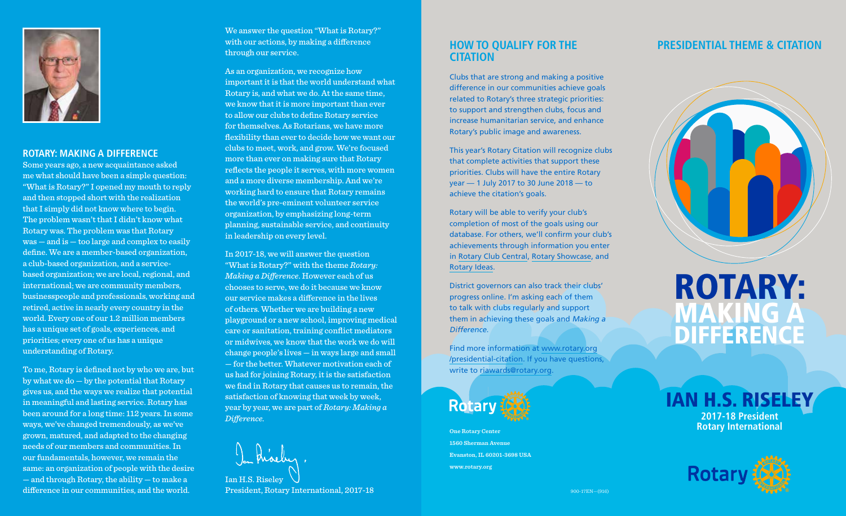

#### **ROTARY: MAKING A DIFFERENCE**

Some years ago, a new acquaintance asked me what should have been a simple question: "What is Rotary?" I opened my mouth to reply and then stopped short with the realization that I simply did not know where to begin. The problem wasn't that I didn't know what Rotary was. The problem was that Rotary was — and is — too large and complex to easily define. We are a member-based organization, a club-based organization, and a servicebased organization; we are local, regional, and international; we are community members, businesspeople and professionals, working and retired, active in nearly every country in the world. Every one of our 1.2 million members has a unique set of goals, experiences, and priorities; every one of us has a unique understanding of Rotary.

To me, Rotary is defined not by who we are, but by what we do — by the potential that Rotary gives us, and the ways we realize that potential in meaningful and lasting service. Rotary has been around for a long time: 112 years. In some ways, we've changed tremendously, as we've grown, matured, and adapted to the changing needs of our members and communities. In our fundamentals, however, we remain the same: an organization of people with the desire — and through Rotary, the ability — to make a difference in our communities, and the world.

We answer the question "What is Rotary?" with our actions, by making a difference through our service.

As an organization, we recognize how important it is that the world understand what Rotary is, and what we do. At the same time, we know that it is more important than ever to allow our clubs to define Rotary service for themselves. As Rotarians, we have more flexibility than ever to decide how we want our clubs to meet, work, and grow. We're focused more than ever on making sure that Rotary reflects the people it serves, with more women and a more diverse membership. And we're working hard to ensure that Rotary remains the world's pre-eminent volunteer service organization, by emphasizing long-term planning, sustainable service, and continuity in leadership on every level.

In 2017-18, we will answer the question "What is Rotary?" with the theme *Rotary: Making a Difference*. However each of us chooses to serve, we do it because we know our service makes a difference in the lives of others. Whether we are building a new playground or a new school, improving medical care or sanitation, training conflict mediators or midwives, we know that the work we do will change people's lives — in ways large and small — for the better. Whatever motivation each of us had for joining Rotary, it is the satisfaction we find in Rotary that causes us to remain, the satisfaction of knowing that week by week, year by year, we are part of *Rotary: Making a Difference.*



President, Rotary International, 2017-18

### **HOW TO QUALIFY FOR THE CITATION**

Clubs that are strong and making a positive difference in our communities achieve goals related to Rotary's three strategic priorities: to support and strengthen clubs, focus and increase humanitarian service, and enhance Rotary's public image and awareness.

This year's Rotary Citation will recognize clubs that complete activities that support these priorities. Clubs will have the entire Rotary year — 1 July 2017 to 30 June 2018 — to achieve the citation's goals.

Rotary will be able to verify your club's completion of most of the goals using our database. For others, we'll confirm your club's achievements through information you enter in [Rotary Club Central,](http://www.rotary.org/clubcentral) [Rotary Showcase](https://map.rotary.org/en/project/pages/project_showcase.aspx), and [Rotary Ideas.](http://ideas.rotary.org/)

District governors can also track their clubs' progress online. I'm asking each of them to talk with clubs regularly and support them in achieving these goals and Making a Difference.

Find more information at [www.rotary.org](http://www.rotary.org/presidential-citation) [/presidential-citation](http://www.rotary.org/presidential-citation). If you have questions, write to [riawards@rotary.org](mailto:riawards%40rotary.org?subject=).



**One Rotary Center 1560 Sherman Avenue Evanston, IL 60201-3698 USA www.rotary.org**

## **PRESIDENTIAL THEME & CITATION**



# ROTARY: MAKING A **DIFFERENCE**

IAN H.S. RISELEY **2017-18 President Rotary International**